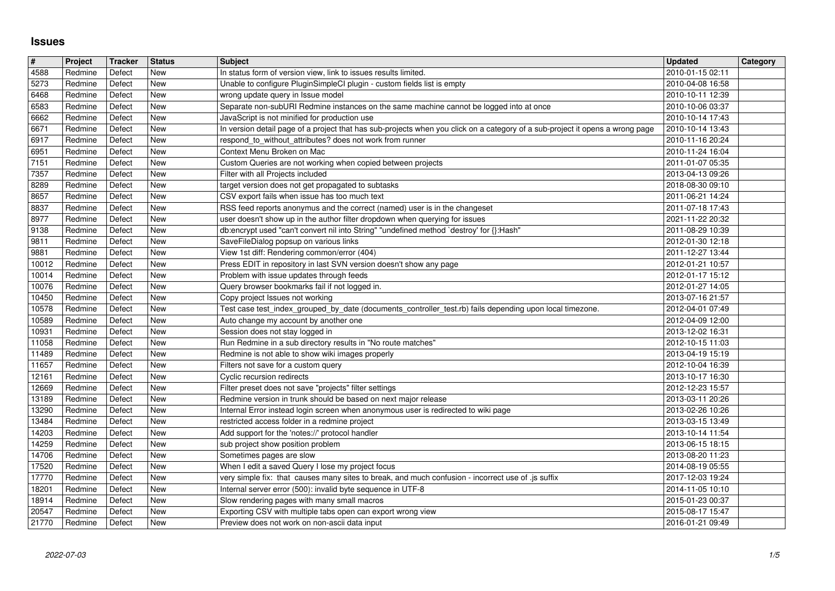## **Issues**

| $\vert$ #      | Project            | Tracker          | Status                   | <b>Subject</b>                                                                                                                                          | <b>Updated</b>                       | Category |
|----------------|--------------------|------------------|--------------------------|---------------------------------------------------------------------------------------------------------------------------------------------------------|--------------------------------------|----------|
| 4588<br>5273   | Redmine<br>Redmine | Defect<br>Defect | New<br>New               | In status form of version view, link to issues results limited.<br>Unable to configure PluginSimpleCl plugin - custom fields list is empty              | 2010-01-15 02:11<br>2010-04-08 16:58 |          |
| 6468           | Redmine            | Defect           | <b>New</b>               | wrong update query in Issue model                                                                                                                       | 2010-10-11 12:39                     |          |
| 6583           | Redmine            | Defect           | New                      | Separate non-subURI Redmine instances on the same machine cannot be logged into at once                                                                 | 2010-10-06 03:37                     |          |
| 6662           | Redmine            | Defect           | <b>New</b>               | JavaScript is not minified for production use                                                                                                           | 2010-10-14 17:43                     |          |
| 6671           | Redmine            | Defect           | <b>New</b>               | In version detail page of a project that has sub-projects when you click on a category of a sub-project it opens a wrong page                           | 2010-10-14 13:43                     |          |
| 6917<br>6951   | Redmine<br>Redmine | Defect<br>Defect | New<br>New               | respond_to_without_attributes? does not work from runner<br>Context Menu Broken on Mac                                                                  | 2010-11-16 20:24<br>2010-11-24 16:04 |          |
| $\sqrt{7151}$  | Redmine            | Defect           | <b>New</b>               | Custom Queries are not working when copied between projects                                                                                             | 2011-01-07 05:35                     |          |
| 7357           | Redmine            | Defect           | New                      | Filter with all Projects included                                                                                                                       | 2013-04-13 09:26                     |          |
| 8289<br>8657   | Redmine<br>Redmine | Defect<br>Defect | New<br><b>New</b>        | target version does not get propagated to subtasks<br>CSV export fails when issue has too much text                                                     | 2018-08-30 09:10<br>2011-06-21 14:24 |          |
| 8837           | Redmine            | Defect           | New                      | RSS feed reports anonymus and the correct (named) user is in the changeset                                                                              | 2011-07-18 17:43                     |          |
| 8977           | Redmine            | Defect           | <b>New</b>               | user doesn't show up in the author filter dropdown when querying for issues                                                                             | 2021-11-22 20:32                     |          |
| 9138<br>9811   | Redmine<br>Redmine | Defect<br>Defect | <b>New</b><br>New        | db:encrypt used "can't convert nil into String" "undefined method `destroy' for {}:Hash"<br>SaveFileDialog popsup on various links                      | 2011-08-29 10:39<br>2012-01-30 12:18 |          |
| 9881           | Redmine            | Defect           | New                      | View 1st diff: Rendering common/error (404)                                                                                                             | 2011-12-27 13:44                     |          |
| 10012          | Redmine            | Defect           | <b>New</b>               | Press EDIT in repository in last SVN version doesn't show any page                                                                                      | 2012-01-21 10:57                     |          |
| 10014          | Redmine            | Defect           | <b>New</b><br><b>New</b> | Problem with issue updates through feeds                                                                                                                | 2012-01-17 15:12                     |          |
| 10076<br>10450 | Redmine<br>Redmine | Defect<br>Defect | <b>New</b>               | Query browser bookmarks fail if not logged in.<br>Copy project Issues not working                                                                       | 2012-01-27 14:05<br>2013-07-16 21:57 |          |
| 10578          | Redmine            | Defect           | <b>New</b>               | Test case test_index_grouped_by_date (documents_controller_test.rb) fails depending upon local timezone.                                                | 2012-04-01 07:49                     |          |
| 10589<br>10931 | Redmine<br>Redmine | Defect<br>Defect | New<br><b>New</b>        | Auto change my account by another one<br>Session does not stay logged in                                                                                | 2012-04-09 12:00<br>2013-12-02 16:31 |          |
| 11058          | Redmine            | Defect           | <b>New</b>               | Run Redmine in a sub directory results in "No route matches"                                                                                            | 2012-10-15 11:03                     |          |
| 11489          | Redmine            | Defect           | New                      | Redmine is not able to show wiki images properly                                                                                                        | 2013-04-19 15:19                     |          |
| 11657          | Redmine            | Defect           | <b>New</b>               | Filters not save for a custom query                                                                                                                     | 2012-10-04 16:39                     |          |
| 12161<br>12669 | Redmine<br>Redmine | Defect<br>Defect | New<br>New               | Cyclic recursion redirects<br>Filter preset does not save "projects" filter settings                                                                    | 2013-10-17 16:30<br>2012-12-23 15:57 |          |
| 13189          | Redmine            | Defect           | New                      | Redmine version in trunk should be based on next major release                                                                                          | 2013-03-11 20:26                     |          |
| 13290          | Redmine            | Defect           | <b>New</b><br>New        | Internal Error instead login screen when anonymous user is redirected to wiki page                                                                      | 2013-02-26 10:26                     |          |
| 13484<br>14203 | Redmine<br>Redmine | Defect<br>Defect | New                      | restricted access folder in a redmine project<br>Add support for the 'notes://' protocol handler                                                        | 2013-03-15 13:49<br>2013-10-14 11:54 |          |
| 14259          | Redmine            | Defect           | New                      | sub project show position problem                                                                                                                       | 2013-06-15 18:15                     |          |
| 14706          | Redmine            | Defect           | New                      | Sometimes pages are slow                                                                                                                                | 2013-08-20 11:23                     |          |
| 17520<br>17770 | Redmine<br>Redmine | Defect<br>Defect | New<br><b>New</b>        | When I edit a saved Query I lose my project focus<br>very simple fix: that causes many sites to break, and much confusion - incorrect use of .js suffix | 2014-08-19 05:55<br>2017-12-03 19:24 |          |
| 18201          | Redmine            | Defect           | New                      | Internal server error (500): invalid byte sequence in UTF-8                                                                                             | 2014-11-05 10:10                     |          |
| 18914          | Redmine            | Defect           | New<br><b>New</b>        | Slow rendering pages with many small macros                                                                                                             | 2015-01-23 00:37                     |          |
| 20547<br>21770 | Redmine<br>Redmine | Defect<br>Defect | New                      | Exporting CSV with multiple tabs open can export wrong view<br>Preview does not work on non-ascii data input                                            | 2015-08-17 15:47<br>2016-01-21 09:49 |          |
|                |                    |                  |                          |                                                                                                                                                         |                                      |          |
|                |                    |                  |                          |                                                                                                                                                         |                                      |          |
|                |                    |                  |                          |                                                                                                                                                         |                                      |          |
|                |                    |                  |                          |                                                                                                                                                         |                                      |          |
|                |                    |                  |                          |                                                                                                                                                         |                                      |          |
|                |                    |                  |                          |                                                                                                                                                         |                                      |          |
|                |                    |                  |                          |                                                                                                                                                         |                                      |          |
|                |                    |                  |                          |                                                                                                                                                         |                                      |          |
|                |                    |                  |                          |                                                                                                                                                         |                                      |          |
|                |                    |                  |                          |                                                                                                                                                         |                                      |          |
|                |                    |                  |                          |                                                                                                                                                         |                                      |          |
|                |                    |                  |                          |                                                                                                                                                         |                                      |          |
|                |                    |                  |                          |                                                                                                                                                         |                                      |          |
|                |                    |                  |                          |                                                                                                                                                         |                                      |          |
|                |                    |                  |                          |                                                                                                                                                         |                                      |          |
|                |                    |                  |                          |                                                                                                                                                         |                                      |          |
|                |                    |                  |                          |                                                                                                                                                         |                                      |          |
|                |                    |                  |                          |                                                                                                                                                         |                                      |          |
|                |                    |                  |                          |                                                                                                                                                         |                                      |          |
|                |                    |                  |                          |                                                                                                                                                         |                                      |          |
|                |                    |                  |                          |                                                                                                                                                         |                                      |          |
|                |                    |                  |                          |                                                                                                                                                         |                                      |          |
|                |                    |                  |                          |                                                                                                                                                         |                                      |          |
|                |                    |                  |                          |                                                                                                                                                         |                                      |          |
|                |                    |                  |                          |                                                                                                                                                         |                                      |          |
|                |                    |                  |                          |                                                                                                                                                         |                                      |          |
|                |                    |                  |                          |                                                                                                                                                         |                                      |          |
|                |                    |                  |                          |                                                                                                                                                         |                                      |          |
|                |                    |                  |                          |                                                                                                                                                         |                                      |          |
|                |                    |                  |                          |                                                                                                                                                         |                                      |          |
|                |                    |                  |                          |                                                                                                                                                         |                                      |          |
|                |                    |                  |                          |                                                                                                                                                         |                                      |          |
|                |                    |                  |                          |                                                                                                                                                         |                                      |          |
|                |                    |                  |                          |                                                                                                                                                         |                                      |          |
|                |                    |                  |                          |                                                                                                                                                         |                                      |          |
|                |                    |                  |                          |                                                                                                                                                         |                                      |          |
|                |                    |                  |                          |                                                                                                                                                         |                                      |          |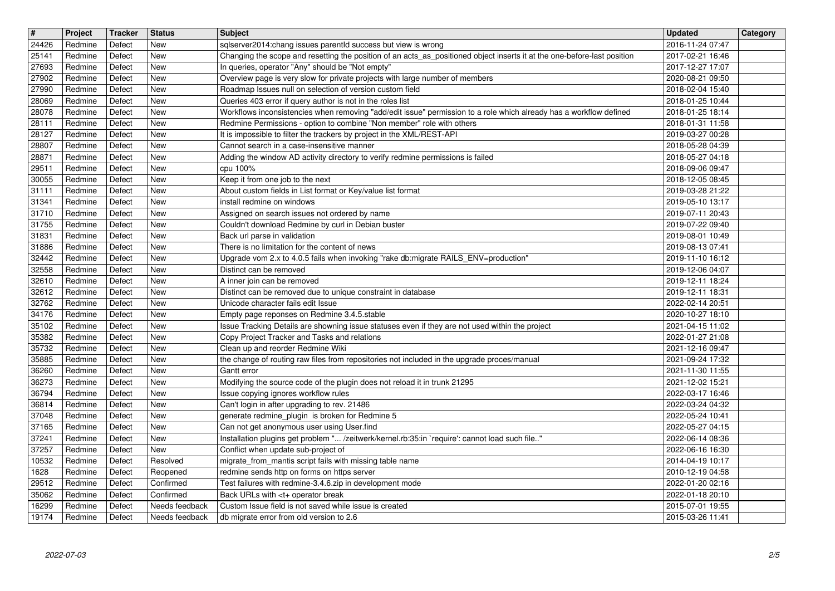|                | Project            | Tracker          | <b>Status</b>                    | <b>Subject</b>                                                                                                                                                                            | <b>Updated</b>                       | Category |
|----------------|--------------------|------------------|----------------------------------|-------------------------------------------------------------------------------------------------------------------------------------------------------------------------------------------|--------------------------------------|----------|
| 24426<br>25141 | Redmine<br>Redmine | Defect<br>Defect | <b>New</b><br>New                | sqlserver2014:chang issues parentld success but view is wrong<br>Changing the scope and resetting the position of an acts_as_positioned object inserts it at the one-before-last position | 2016-11-24 07:47<br>2017-02-21 16:46 |          |
| 27693<br>27902 | Redmine<br>Redmine | Defect<br>Defect | <b>New</b><br>New                | In queries, operator "Any" should be "Not empty"<br>Overview page is very slow for private projects with large number of members                                                          | 2017-12-27 17:07<br>2020-08-21 09:50 |          |
| 27990          | Redmine            | Defect           | <b>New</b>                       | Roadmap Issues null on selection of version custom field                                                                                                                                  | 2018-02-04 15:40                     |          |
| 28069<br>28078 | Redmine<br>Redmine | Defect<br>Defect | New<br><b>New</b>                | Queries 403 error if query author is not in the roles list<br>Workflows inconsistencies when removing "add/edit issue" permission to a role which already has a workflow defined          | 2018-01-25 10:44<br>2018-01-25 18:14 |          |
| 28111          | Redmine            | Defect           | New                              | Redmine Permissions - option to combine "Non member" role with others                                                                                                                     | 2018-01-31 11:58                     |          |
| 28127<br>28807 | Redmine<br>Redmine | Defect<br>Defect | <b>New</b><br><b>New</b>         | It is impossible to filter the trackers by project in the XML/REST-API<br>Cannot search in a case-insensitive manner                                                                      | 2019-03-27 00:28<br>2018-05-28 04:39 |          |
| 28871          | Redmine            | Defect           | <b>New</b>                       | Adding the window AD activity directory to verify redmine permissions is failed                                                                                                           | 2018-05-27 04:18                     |          |
| 29511<br>30055 | Redmine<br>Redmine | Defect<br>Defect | New<br>New                       | cpu 100%<br>Keep it from one job to the next                                                                                                                                              | 2018-09-06 09:47<br>2018-12-05 08:45 |          |
| 31111<br>31341 | Redmine<br>Redmine | Defect<br>Defect | New<br>New                       | About custom fields in List format or Key/value list format<br>install redmine on windows                                                                                                 | 2019-03-28 21:22<br>2019-05-10 13:17 |          |
| 31710          | Redmine            | Defect           | <b>New</b>                       | Assigned on search issues not ordered by name                                                                                                                                             | 2019-07-11 20:43                     |          |
| 31755<br>31831 | Redmine<br>Redmine | Defect<br>Defect | <b>New</b><br>New                | Couldn't download Redmine by curl in Debian buster<br>Back url parse in validation                                                                                                        | 2019-07-22 09:40<br>2019-08-01 10:49 |          |
| 31886          | Redmine            | Defect           | <b>New</b>                       | There is no limitation for the content of news                                                                                                                                            | 2019-08-13 07:41                     |          |
| 32442<br>32558 | Redmine<br>Redmine | Defect<br>Defect | <b>New</b><br>New                | Upgrade vom 2.x to 4.0.5 fails when invoking "rake db:migrate RAILS_ENV=production"<br>Distinct can be removed                                                                            | 2019-11-10 16:12<br>2019-12-06 04:07 |          |
| 32610          | Redmine            | Defect           | New                              | A inner join can be removed                                                                                                                                                               | 2019-12-11 18:24                     |          |
| 32612<br>32762 | Redmine<br>Redmine | Defect<br>Defect | New<br><b>New</b>                | Distinct can be removed due to unique constraint in database<br>Unicode character fails edit Issue                                                                                        | 2019-12-11 18:31<br>2022-02-14 20:51 |          |
| 34176          | Redmine            | Defect           | New                              | Empty page reponses on Redmine 3.4.5.stable                                                                                                                                               | 2020-10-27 18:10                     |          |
| 35102<br>35382 | Redmine<br>Redmine | Defect<br>Defect | New<br><b>New</b>                | Issue Tracking Details are showning issue statuses even if they are not used within the project<br>Copy Project Tracker and Tasks and relations                                           | 2021-04-15 11:02<br>2022-01-27 21:08 |          |
| 35732<br>35885 | Redmine<br>Redmine | Defect<br>Defect | <b>New</b><br><b>New</b>         | Clean up and reorder Redmine Wiki<br>the change of routing raw files from repositories not included in the upgrade proces/manual                                                          | 2021-12-16 09:47<br>2021-09-24 17:32 |          |
| 36260          | Redmine            | Defect           | New                              | Gantt error                                                                                                                                                                               | 2021-11-30 11:55                     |          |
| 36273<br>36794 | Redmine<br>Redmine | Defect<br>Defect | New<br>New                       | Modifying the source code of the plugin does not reload it in trunk 21295<br>Issue copying ignores workflow rules                                                                         | 2021-12-02 15:21<br>2022-03-17 16:46 |          |
| 36814          | Redmine            | Defect           | New                              | Can't login in after upgrading to rev. 21486                                                                                                                                              | 2022-03-24 04:32                     |          |
| 37048<br>37165 | Redmine<br>Redmine | Defect<br>Defect | <b>New</b><br>New                | generate redmine_plugin is broken for Redmine 5<br>Can not get anonymous user using User.find                                                                                             | 2022-05-24 10:41<br>2022-05-27 04:15 |          |
| 37241          | Redmine            | Defect           | <b>New</b>                       | Installation plugins get problem " /zeitwerk/kernel.rb:35:in `require': cannot load such file"                                                                                            | 2022-06-14 08:36                     |          |
| 37257<br>10532 | Redmine<br>Redmine | Defect<br>Defect | <b>New</b><br>Resolved           | Conflict when update sub-project of<br>migrate_from_mantis script fails with missing table name                                                                                           | 2022-06-16 16:30<br>2014-04-19 10:17 |          |
| 1628           | Redmine            | Defect           | Reopened                         | redmine sends http on forms on https server                                                                                                                                               | 2010-12-19 04:58                     |          |
| 29512<br>35062 | Redmine<br>Redmine | Defect<br>Defect | Confirmed<br>Confirmed           | Test failures with redmine-3.4.6.zip in development mode<br>Back URLs with <t+ break<="" operator="" td=""><td>2022-01-20 02:16<br/>2022-01-18 20:10</td><td></td></t+>                   | 2022-01-20 02:16<br>2022-01-18 20:10 |          |
| 16299          | Redmine<br>Redmine | Defect<br>Defect | Needs feedback<br>Needs feedback | Custom Issue field is not saved while issue is created<br>db migrate error from old version to 2.6                                                                                        | 2015-07-01 19:55<br>2015-03-26 11:41 |          |
| 19174          | 2022-07-03         |                  |                                  |                                                                                                                                                                                           |                                      | 2/5      |
|                |                    |                  |                                  |                                                                                                                                                                                           |                                      |          |
|                |                    |                  |                                  |                                                                                                                                                                                           |                                      |          |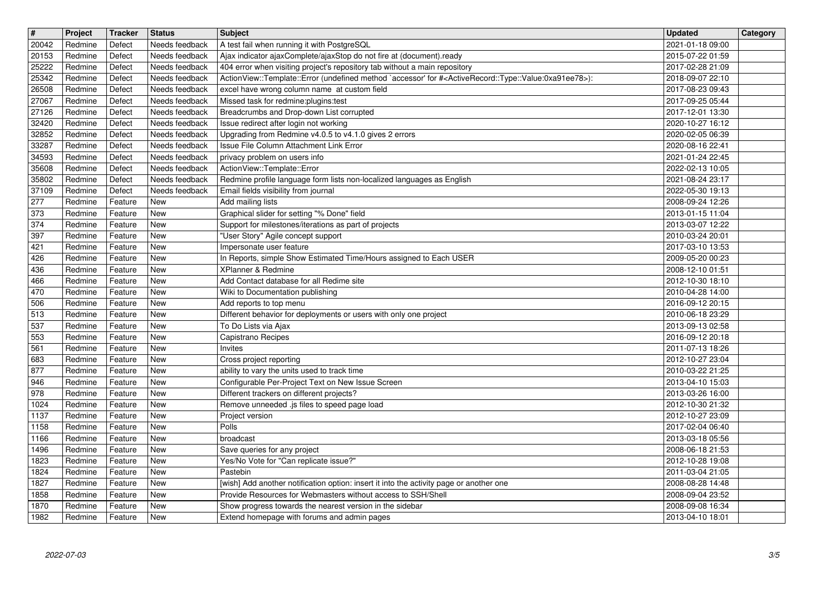| $\overline{\mathbf{H}}$<br>20042 | Project<br>Redmine | Tracker<br>Defect  | <b>Status</b><br>Needs feedback  | <b>Subject</b><br>A test fail when running it with PostgreSQL                                                                                                                                 | <b>Updated</b><br>2021-01-18 09:00   | Category |
|----------------------------------|--------------------|--------------------|----------------------------------|-----------------------------------------------------------------------------------------------------------------------------------------------------------------------------------------------|--------------------------------------|----------|
| 20153<br>25222                   | Redmine<br>Redmine | Defect<br>Defect   | Needs feedback<br>Needs feedback | Ajax indicator ajaxComplete/ajaxStop do not fire at (document).ready<br>404 error when visiting project's repository tab without a main repository                                            | 2015-07-22 01:59<br>2017-02-28 21:09 |          |
| 25342<br>26508                   | Redmine<br>Redmine | Defect<br>Defect   | Needs feedback<br>Needs feedback | ActionView::Template::Error (undefined method `accessor' for # <activerecord::type::value:0xa91ee78>):<br/>excel have wrong column name at custom field</activerecord::type::value:0xa91ee78> | 2018-09-07 22:10<br>2017-08-23 09:43 |          |
| 27067                            | Redmine            | Defect             | Needs feedback                   | Missed task for redmine:plugins:test                                                                                                                                                          | 2017-09-25 05:44                     |          |
| 27126<br>32420                   | Redmine<br>Redmine | Defect<br>Defect   | Needs feedback<br>Needs feedback | Breadcrumbs and Drop-down List corrupted<br>Issue redirect after login not working                                                                                                            | 2017-12-01 13:30<br>2020-10-27 16:12 |          |
| 32852<br>33287                   | Redmine<br>Redmine | Defect<br>Defect   | Needs feedback<br>Needs feedback | Upgrading from Redmine v4.0.5 to v4.1.0 gives 2 errors<br>Issue File Column Attachment Link Error                                                                                             | 2020-02-05 06:39<br>2020-08-16 22:41 |          |
| 34593<br>35608                   | Redmine<br>Redmine | Defect<br>Defect   | Needs feedback<br>Needs feedback | privacy problem on users info<br>ActionView::Template::Error                                                                                                                                  | 2021-01-24 22:45<br>2022-02-13 10:05 |          |
| 35802                            | Redmine            | Defect             | Needs feedback                   | Redmine profile language form lists non-localized languages as English                                                                                                                        | 2021-08-24 23:17                     |          |
| 37109<br>277                     | Redmine<br>Redmine | Defect<br>Feature  | Needs feedback<br><b>New</b>     | Email fields visibility from journal<br>Add mailing lists                                                                                                                                     | 2022-05-30 19:13<br>2008-09-24 12:26 |          |
| 373<br>374                       | Redmine<br>Redmine | Feature<br>Feature | <b>New</b><br><b>New</b>         | Graphical slider for setting "% Done" field<br>Support for milestones/iterations as part of projects                                                                                          | 2013-01-15 11:04<br>2013-03-07 12:22 |          |
| 397                              | Redmine            | Feature            | <b>New</b>                       | "User Story" Agile concept support                                                                                                                                                            | 2010-03-24 20:01                     |          |
| 421<br>426                       | Redmine<br>Redmine | Feature<br>Feature | <b>New</b><br><b>New</b>         | Impersonate user feature<br>In Reports, simple Show Estimated Time/Hours assigned to Each USER                                                                                                | 2017-03-10 13:53<br>2009-05-20 00:23 |          |
| 436<br>466                       | Redmine<br>Redmine | Feature<br>Feature | <b>New</b><br><b>New</b>         | XPlanner & Redmine<br>Add Contact database for all Redime site                                                                                                                                | 2008-12-10 01:51<br>2012-10-30 18:10 |          |
| 470<br>506                       | Redmine<br>Redmine | Feature<br>Feature | New<br><b>New</b>                | Wiki to Documentation publishing<br>Add reports to top menu                                                                                                                                   | 2010-04-28 14:00<br>2016-09-12 20:15 |          |
| 513                              | Redmine            | Feature            | <b>New</b>                       | Different behavior for deployments or users with only one project                                                                                                                             | 2010-06-18 23:29                     |          |
| 537<br>553                       | Redmine<br>Redmine | Feature<br>Feature | <b>New</b><br><b>New</b>         | To Do Lists via Ajax<br>Capistrano Recipes                                                                                                                                                    | 2013-09-13 02:58<br>2016-09-12 20:18 |          |
| 561<br>683                       | Redmine<br>Redmine | Feature<br>Feature | <b>New</b><br><b>New</b>         | Invites<br>Cross project reporting                                                                                                                                                            | 2011-07-13 18:26<br>2012-10-27 23:04 |          |
| 877                              | Redmine            | Feature            | <b>New</b>                       | ability to vary the units used to track time                                                                                                                                                  | 2010-03-22 21:25                     |          |
| 946<br>978                       | Redmine<br>Redmine | Feature<br>Feature | <b>New</b><br><b>New</b>         | Configurable Per-Project Text on New Issue Screen<br>Different trackers on different projects?                                                                                                | 2013-04-10 15:03<br>2013-03-26 16:00 |          |
| 1024<br>1137                     | Redmine<br>Redmine | Feature<br>Feature | <b>New</b><br><b>New</b>         | Remove unneeded .js files to speed page load<br>Project version                                                                                                                               | 2012-10-30 21:32<br>2012-10-27 23:09 |          |
| 1158                             | Redmine            | Feature            | <b>New</b>                       | Polls                                                                                                                                                                                         | 2017-02-04 06:40                     |          |
| 1166<br>1496                     | Redmine<br>Redmine | Feature<br>Feature | New<br>New                       | broadcast<br>Save queries for any project                                                                                                                                                     | 2013-03-18 05:56<br>2008-06-18 21:53 |          |
| 1823<br>1824                     | Redmine<br>Redmine | Feature<br>Feature | New<br>New                       | Yes/No Vote for "Can replicate issue?"<br>Pastebin                                                                                                                                            | 2012-10-28 19:08<br>2011-03-04 21:05 |          |
| 1827                             | Redmine            | Feature            | New                              | [wish] Add another notification option: insert it into the activity page or another one                                                                                                       | 2008-08-28 14:48                     |          |
| 1858<br>1870                     | Redmine<br>Redmine | Feature<br>Feature | New<br>New                       | Provide Resources for Webmasters without access to SSH/Shell<br>Show progress towards the nearest version in the sidebar                                                                      | 2008-09-04 23:52<br>2008-09-08 16:34 |          |
|                                  |                    |                    |                                  | Extend homepage with forums and admin pages                                                                                                                                                   |                                      |          |
|                                  |                    |                    |                                  |                                                                                                                                                                                               |                                      |          |
|                                  |                    |                    |                                  |                                                                                                                                                                                               |                                      |          |
|                                  |                    |                    |                                  |                                                                                                                                                                                               |                                      |          |
|                                  |                    |                    |                                  |                                                                                                                                                                                               |                                      |          |
|                                  |                    |                    |                                  |                                                                                                                                                                                               |                                      |          |
|                                  |                    |                    |                                  |                                                                                                                                                                                               |                                      |          |
|                                  |                    |                    |                                  |                                                                                                                                                                                               |                                      |          |
|                                  |                    |                    |                                  |                                                                                                                                                                                               |                                      |          |
|                                  |                    |                    |                                  |                                                                                                                                                                                               |                                      |          |
|                                  |                    |                    |                                  |                                                                                                                                                                                               |                                      |          |
|                                  |                    |                    |                                  |                                                                                                                                                                                               |                                      |          |
|                                  |                    |                    |                                  |                                                                                                                                                                                               |                                      |          |
|                                  |                    |                    |                                  |                                                                                                                                                                                               |                                      |          |
|                                  |                    |                    |                                  |                                                                                                                                                                                               |                                      |          |
|                                  |                    |                    |                                  |                                                                                                                                                                                               |                                      |          |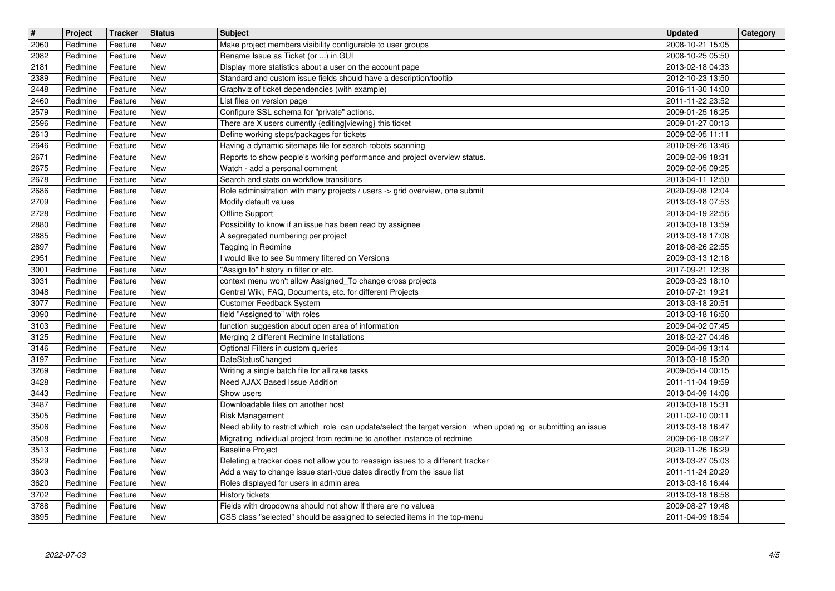| $\boxed{\textcolor{blue}{\#}}$ | Project            | Tracker            | <b>Status</b>            | <b>Subject</b>                                                                                                                                                                            | <b>Updated</b>                       | Category |
|--------------------------------|--------------------|--------------------|--------------------------|-------------------------------------------------------------------------------------------------------------------------------------------------------------------------------------------|--------------------------------------|----------|
| 2060<br>2082                   | Redmine<br>Redmine | Feature<br>Feature | New<br><b>New</b>        | Make project members visibility configurable to user groups<br>Rename Issue as Ticket (or ) in GUI                                                                                        | 2008-10-21 15:05<br>2008-10-25 05:50 |          |
| 2181                           | Redmine            | Feature            | <b>New</b>               | Display more statistics about a user on the account page                                                                                                                                  | 2013-02-18 04:33                     |          |
| 2389                           | Redmine            | Feature            | New                      | Standard and custom issue fields should have a description/tooltip                                                                                                                        | 2012-10-23 13:50                     |          |
| 2448<br>2460                   | Redmine<br>Redmine | Feature<br>Feature | New<br>New               | Graphviz of ticket dependencies (with example)<br>List files on version page                                                                                                              | 2016-11-30 14:00<br>2011-11-22 23:52 |          |
| 2579                           | Redmine            | Feature            | <b>New</b>               | Configure SSL schema for "private" actions.                                                                                                                                               | 2009-01-25 16:25                     |          |
| 2596<br>2613                   | Redmine<br>Redmine | Feature<br>Feature | New<br><b>New</b>        | There are X users currently {editing viewing} this ticket<br>Define working steps/packages for tickets                                                                                    | 2009-01-27 00:13<br>2009-02-05 11:11 |          |
| 2646                           | Redmine            | Feature            | <b>New</b>               | Having a dynamic sitemaps file for search robots scanning                                                                                                                                 | 2010-09-26 13:46                     |          |
| $\overline{2671}$<br>2675      | Redmine<br>Redmine | Feature<br>Feature | New<br>New               | Reports to show people's working performance and project overview status.<br>Watch - add a personal comment                                                                               | 2009-02-09 18:31<br>2009-02-05 09:25 |          |
| 2678                           | Redmine            | Feature            | New                      | Search and stats on workflow transitions                                                                                                                                                  | 2013-04-11 12:50                     |          |
| 2686                           | Redmine            | Feature            | <b>New</b>               | Role adminsitration with many projects / users -> grid overview, one submit                                                                                                               | 2020-09-08 12:04                     |          |
| 2709<br>2728                   | Redmine<br>Redmine | Feature<br>Feature | <b>New</b><br><b>New</b> | Modify default values<br>Offline Support                                                                                                                                                  | 2013-03-18 07:53<br>2013-04-19 22:56 |          |
| 2880                           | Redmine            | Feature            | <b>New</b>               | Possibility to know if an issue has been read by assignee                                                                                                                                 | 2013-03-18 13:59                     |          |
| 2885<br>2897                   | Redmine<br>Redmine | Feature<br>Feature | <b>New</b><br><b>New</b> | A segregated numbering per project<br>Tagging in Redmine                                                                                                                                  | 2013-03-18 17:08<br>2018-08-26 22:55 |          |
| 2951                           | Redmine            | Feature            | New                      | I would like to see Summery filtered on Versions                                                                                                                                          | 2009-03-13 12:18                     |          |
| 3001<br>3031                   | Redmine<br>Redmine | Feature<br>Feature | <b>New</b><br><b>New</b> | "Assign to" history in filter or etc.<br>context menu won't allow Assigned_To change cross projects                                                                                       | 2017-09-21 12:38<br>2009-03-23 18:10 |          |
| 3048                           | Redmine            | Feature            | <b>New</b>               | Central Wiki, FAQ, Documents, etc. for different Projects                                                                                                                                 | 2010-07-21 19:21                     |          |
| 3077                           | Redmine            | Feature            | <b>New</b>               | Customer Feedback System                                                                                                                                                                  | 2013-03-18 20:51                     |          |
| 3090<br>3103                   | Redmine<br>Redmine | Feature<br>Feature | New<br><b>New</b>        | field "Assigned to" with roles<br>function suggestion about open area of information                                                                                                      | 2013-03-18 16:50<br>2009-04-02 07:45 |          |
| $\sqrt{3125}$                  | Redmine            | Feature            | <b>New</b>               | Merging 2 different Redmine Installations                                                                                                                                                 | 2018-02-27 04:46                     |          |
| $\boxed{3146}$<br>3197         | Redmine<br>Redmine | Feature<br>Feature | <b>New</b><br><b>New</b> | Optional Filters in custom queries<br>DateStatusChanged                                                                                                                                   | 2009-04-09 13:14<br>2013-03-18 15:20 |          |
| 3269                           | Redmine            | Feature            | New                      | Writing a single batch file for all rake tasks                                                                                                                                            | 2009-05-14 00:15                     |          |
| 3428<br>3443                   | Redmine            | Feature            | <b>New</b><br>New        | Need AJAX Based Issue Addition                                                                                                                                                            | 2011-11-04 19:59                     |          |
| 3487                           | Redmine<br>Redmine | Feature<br>Feature | <b>New</b>               | Show users<br>Downloadable files on another host                                                                                                                                          | 2013-04-09 14:08<br>2013-03-18 15:31 |          |
| 3505                           | Redmine            | Feature            | <b>New</b>               | Risk Management                                                                                                                                                                           | 2011-02-10 00:11                     |          |
| 3506<br>3508                   | Redmine<br>Redmine | Feature<br>Feature | New<br><b>New</b>        | Need ability to restrict which role can update/select the target version when updating or submitting an issue<br>Migrating individual project from redmine to another instance of redmine | 2013-03-18 16:47<br>2009-06-18 08:27 |          |
| 3513                           | Redmine            | Feature            | <b>New</b>               | Baseline Project                                                                                                                                                                          | 2020-11-26 16:29                     |          |
| 3529<br>3603                   | Redmine<br>Redmine | Feature<br>Feature | New<br>New               | Deleting a tracker does not allow you to reassign issues to a different tracker<br>Add a way to change issue start-/due dates directly from the issue list                                | 2013-03-27 05:03<br>2011-11-24 20:29 |          |
| 3620                           | Redmine            | Feature            | <b>New</b>               | Roles displayed for users in admin area                                                                                                                                                   | 2013-03-18 16:44                     |          |
| 3702                           | Redmine            | Feature            | New                      | History tickets                                                                                                                                                                           | 2013-03-18 16:58                     |          |
| 3788<br>3895                   | Redmine<br>Redmine | Feature<br>Feature | New<br>New               | Fields with dropdowns should not show if there are no values<br>CSS class "selected" should be assigned to selected items in the top-menu                                                 | 2009-08-27 19:48<br>2011-04-09 18:54 |          |
|                                |                    |                    |                          |                                                                                                                                                                                           |                                      |          |
|                                |                    |                    |                          |                                                                                                                                                                                           |                                      |          |
|                                |                    |                    |                          |                                                                                                                                                                                           |                                      |          |
|                                |                    |                    |                          |                                                                                                                                                                                           |                                      |          |
|                                |                    |                    |                          |                                                                                                                                                                                           |                                      |          |
|                                |                    |                    |                          |                                                                                                                                                                                           |                                      |          |
|                                |                    |                    |                          |                                                                                                                                                                                           |                                      |          |
|                                |                    |                    |                          |                                                                                                                                                                                           |                                      |          |
|                                |                    |                    |                          |                                                                                                                                                                                           |                                      |          |
|                                |                    |                    |                          |                                                                                                                                                                                           |                                      |          |